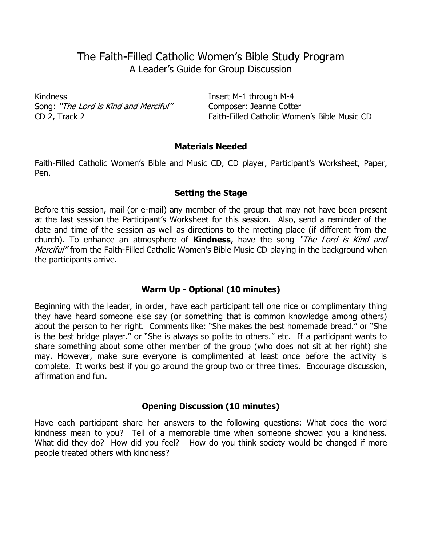# The Faith-Filled Catholic Women's Bible Study Program A Leader's Guide for Group Discussion

Kindness **Insert M-1 through M-4** Song: "The Lord is Kind and Merciful" Composer: Jeanne Cotter

CD 2, Track 2 Faith-Filled Catholic Women's Bible Music CD

#### **Materials Needed**

Faith-Filled Catholic Women's Bible and Music CD, CD player, Participant's Worksheet, Paper, Pen.

## **Setting the Stage**

Before this session, mail (or e-mail) any member of the group that may not have been present at the last session the Participant's Worksheet for this session. Also, send a reminder of the date and time of the session as well as directions to the meeting place (if different from the church). To enhance an atmosphere of **Kindness**, have the song "The Lord is Kind and Merciful" from the Faith-Filled Catholic Women's Bible Music CD playing in the background when the participants arrive.

# **Warm Up - Optional (10 minutes)**

Beginning with the leader, in order, have each participant tell one nice or complimentary thing they have heard someone else say (or something that is common knowledge among others) about the person to her right. Comments like: "She makes the best homemade bread." or "She is the best bridge player." or "She is always so polite to others." etc. If a participant wants to share something about some other member of the group (who does not sit at her right) she may. However, make sure everyone is complimented at least once before the activity is complete. It works best if you go around the group two or three times. Encourage discussion, affirmation and fun.

## **Opening Discussion (10 minutes)**

Have each participant share her answers to the following questions: What does the word kindness mean to you? Tell of a memorable time when someone showed you a kindness. What did they do? How did you feel? How do you think society would be changed if more people treated others with kindness?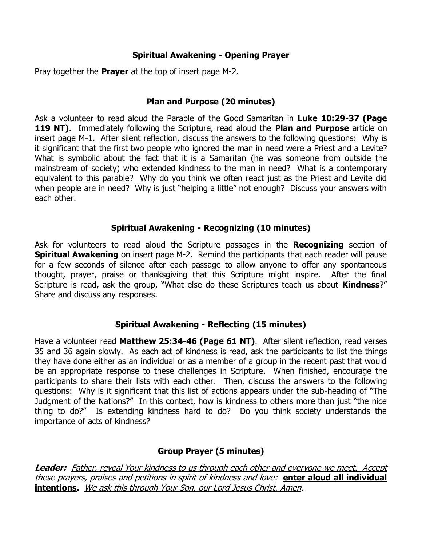# **Spiritual Awakening - Opening Prayer**

Pray together the **Prayer** at the top of insert page M-2.

# **Plan and Purpose (20 minutes)**

Ask a volunteer to read aloud the Parable of the Good Samaritan in **Luke 10:29-37 (Page 119 NT)**. Immediately following the Scripture, read aloud the **Plan and Purpose** article on insert page M-1. After silent reflection, discuss the answers to the following questions: Why is it significant that the first two people who ignored the man in need were a Priest and a Levite? What is symbolic about the fact that it is a Samaritan (he was someone from outside the mainstream of society) who extended kindness to the man in need? What is a contemporary equivalent to this parable? Why do you think we often react just as the Priest and Levite did when people are in need? Why is just "helping a little" not enough? Discuss your answers with each other.

# **Spiritual Awakening - Recognizing (10 minutes)**

Ask for volunteers to read aloud the Scripture passages in the **Recognizing** section of **Spiritual Awakening** on insert page M-2. Remind the participants that each reader will pause for a few seconds of silence after each passage to allow anyone to offer any spontaneous thought, prayer, praise or thanksgiving that this Scripture might inspire. After the final Scripture is read, ask the group, "What else do these Scriptures teach us about **Kindness**?" Share and discuss any responses.

## **Spiritual Awakening - Reflecting (15 minutes)**

Have a volunteer read **Matthew 25:34-46 (Page 61 NT)**. After silent reflection, read verses 35 and 36 again slowly. As each act of kindness is read, ask the participants to list the things they have done either as an individual or as a member of a group in the recent past that would be an appropriate response to these challenges in Scripture. When finished, encourage the participants to share their lists with each other. Then, discuss the answers to the following questions: Why is it significant that this list of actions appears under the sub-heading of "The Judgment of the Nations?" In this context, how is kindness to others more than just "the nice thing to do?" Is extending kindness hard to do? Do you think society understands the importance of acts of kindness?

# **Group Prayer (5 minutes)**

**Leader:** Father, reveal Your kindness to us through each other and everyone we meet. Accept these prayers, praises and petitions in spirit of kindness and love: **enter aloud all individual intentions.** We ask this through Your Son, our Lord Jesus Christ. Amen.